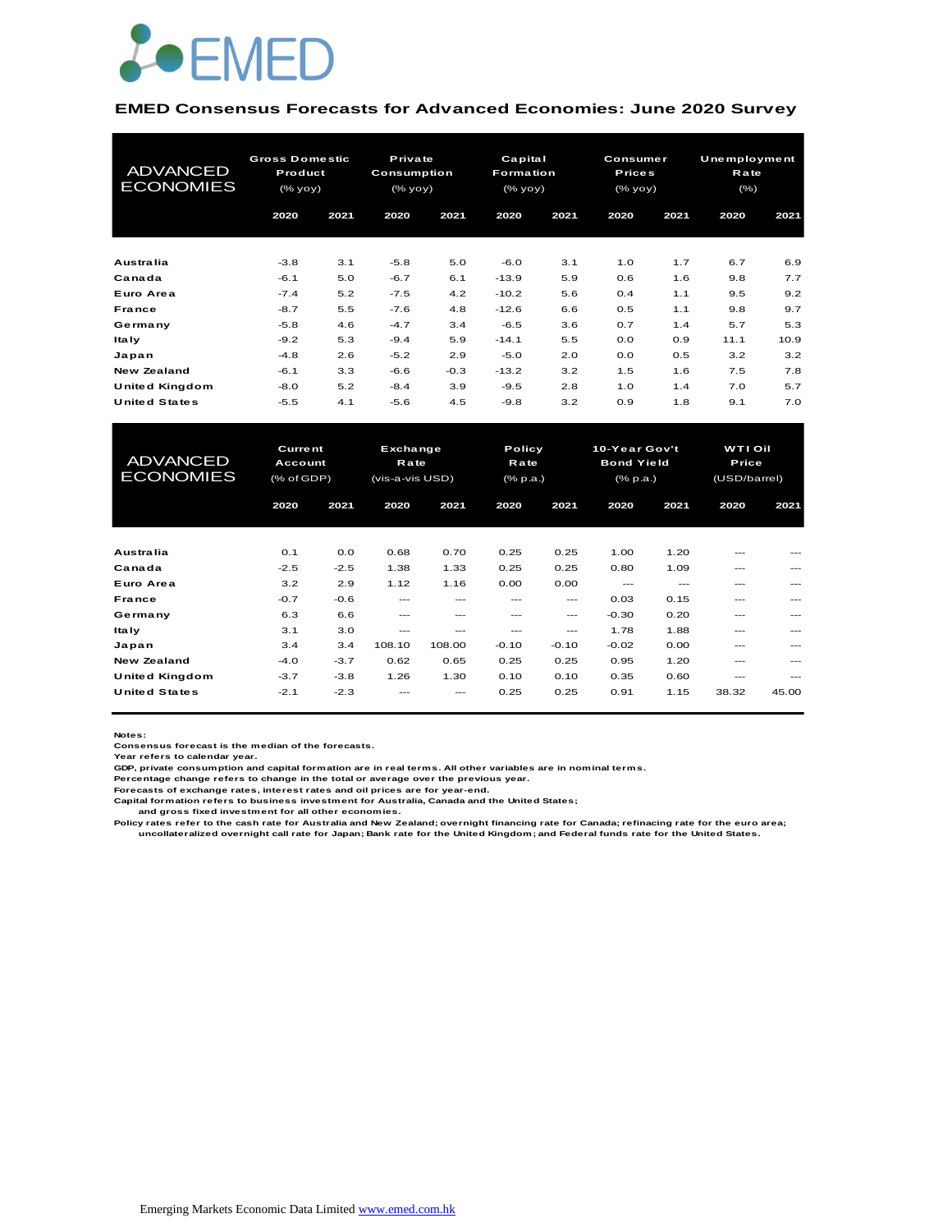

#### **EMED Consensus Forecasts for Advanced Economies: June 2020 Survey**

| <b>ADVANCED</b><br><b>ECONOMIES</b> | <b>Gross Domestic</b><br>Product<br>(% |            | Private<br>Consumption<br>$(\%$ yoy $)$ |            | Capital<br><b>Formation</b><br>(% |            | <b>Consumer</b><br><b>Prices</b><br>(% yoy) |            | Unemployment<br>Rate<br>$(\% )$ |            |
|-------------------------------------|----------------------------------------|------------|-----------------------------------------|------------|-----------------------------------|------------|---------------------------------------------|------------|---------------------------------|------------|
|                                     | 2020                                   | 2021       | 2020                                    | 2021       | 2020                              | 2021       | 2020                                        | 2021       | 2020                            | 2021       |
| Australia                           | $-3.8$                                 | 3.1        | $-5.8$                                  | 5.0        | $-6.0$                            | 3.1        | 1.0                                         | 1.7        | 6.7                             | 6.9        |
| Canada<br>Euro Area                 | $-6.1$                                 | 5.0        | $-6.7$                                  | 6.1        | $-13.9$                           | 5.9        | 0.6                                         | 1.6<br>1.1 | 9.8                             | 7.7<br>9.2 |
| France                              | $-7.4$<br>$-8.7$                       | 5.2<br>5.5 | $-7.5$<br>$-7.6$                        | 4.2<br>4.8 | $-10.2$<br>$-12.6$                | 5.6<br>6.6 | 0.4<br>0.5                                  | 1.1        | 9.5<br>9.8                      | 9.7        |
| Germany                             | $-5.8$                                 | 4.6        | $-4.7$                                  | 3.4        | $-6.5$                            | 3.6        | 0.7                                         | 1.4        | 5.7                             | 5.3        |
| <b>Italy</b>                        | $-9.2$                                 | 5.3        | $-9.4$                                  | 5.9        | $-14.1$                           | 5.5        | 0.0                                         | 0.9        | 11.1                            | 10.9       |
| Japan                               | $-4.8$                                 | 2.6        | $-5.2$                                  | 2.9        | $-5.0$                            | 2.0        | 0.0                                         | 0.5        | 3.2                             | 3.2        |
| <b>New Zealand</b>                  | $-6.1$                                 | 3.3        | $-6.6$                                  | $-0.3$     | $-13.2$                           | 3.2        | 1.5                                         | 1.6        | 7.5                             | 7.8        |
| United Kingdom                      | $-8.0$                                 | 5.2        | $-8.4$                                  | 3.9        | $-9.5$                            | 2.8        | 1.0                                         | 1.4        | 7.0                             | 5.7        |
| <b>United States</b>                | $-5.5$                                 | 4.1        | $-5.6$                                  | 4.5        | $-9.8$                            | 3.2        | 0.9                                         | 1.8        | 9.1                             | 7.0        |

| United Kingdom       | $-8.0$         | 5.2    | $-8.4$          | 3.9    | $-9.5$   | 2.8     | 1.0               | 1.4   | 7.0            | 5.7   |  |
|----------------------|----------------|--------|-----------------|--------|----------|---------|-------------------|-------|----------------|-------|--|
| <b>United States</b> | $-5.5$         | 4.1    | $-5.6$          | 4.5    | $-9.8$   | 3.2     | 0.9               | 1.8   | 9.1            | 7.0   |  |
|                      |                |        |                 |        |          |         |                   |       |                |       |  |
|                      |                |        |                 |        |          |         |                   |       |                |       |  |
| <b>ADVANCED</b>      | <b>Current</b> |        | Exchange        |        | Policy   |         | 10-Year Gov't     |       | <b>WTI Oil</b> |       |  |
| <b>ECONOMIES</b>     | Account        |        | <b>Rate</b>     |        | Rate     |         | <b>Bond Yield</b> |       | Price          |       |  |
|                      | (% of GDP)     |        | (vis-a-vis USD) |        | (% p.a.) |         | (% p.a.)          |       | (USD/barrel)   |       |  |
|                      | 2020           | 2021   | 2020            | 2021   | 2020     | 2021    | 2020              | 2021  | 2020           | 2021  |  |
|                      |                |        |                 |        |          |         |                   |       |                |       |  |
|                      |                |        |                 |        |          |         |                   |       |                |       |  |
| Australia            | 0.1            | 0.0    | 0.68            | 0.70   | 0.25     | 0.25    | 1.00              | 1.20  |                |       |  |
| Canada               | $-2.5$         | $-2.5$ | 1.38            | 1.33   | 0.25     | 0.25    | 0.80              | 1.09  | ---            |       |  |
| Euro Area            | 3.2            | 2.9    | 1.12            | 1.16   | 0.00     | 0.00    | $---$             | $---$ | ---            | ---   |  |
| <b>France</b>        | $-0.7$         | $-0.6$ | ---             | ---    | ---      | ---     | 0.03              | 0.15  | ---            |       |  |
| Germany              | 6.3            | 6.6    | $- - -$         | ---    | $- - -$  | ---     | $-0.30$           | 0.20  | ---            | ---   |  |
| <b>Italy</b>         | 3.1            | 3.0    | ---             | ---    | $- - -$  | $---$   | 1.78              | 1.88  | $- - -$        |       |  |
| Japan                | 3.4            | 3.4    | 108.10          | 108.00 | $-0.10$  | $-0.10$ | $-0.02$           | 0.00  | ---            | ---   |  |
| <b>New Zealand</b>   | $-4.0$         | $-3.7$ | 0.62            | 0.65   | 0.25     | 0.25    | 0.95              | 1.20  | ---            |       |  |
| United Kingdom       | $-3.7$         | $-3.8$ | 1.26            | 1.30   | 0.10     | 0.10    | 0.35              | 0.60  | ---            | ---   |  |
| <b>United States</b> | $-2.1$         | $-2.3$ |                 |        | 0.25     | 0.25    | 0.91              | 1.15  | 38.32          | 45.00 |  |
|                      |                |        |                 |        |          |         |                   |       |                |       |  |

**Notes:** 

**Consensus forecast is the median of the forecasts. Year refers to calendar year.**

**GDP, private consumption and capital formation are in real terms. All other variables are in nominal terms.**

**Percentage change refers to change in the total or average over the previous year. Forecasts of exchange rates, interest rates and oil prices are for year-end.**

**Capital formation refers to business investment for Australia, Canada and the United States;**

 **and gross fixed investment for all other economies.**

Policy rates refer to the cash rate for Australia and New Zealand; overnight financing rate for Canada; refinacing rate for the euro area;<br>uncollateralized overnight call rate for Japan; Bank rate for the United Kingdom; a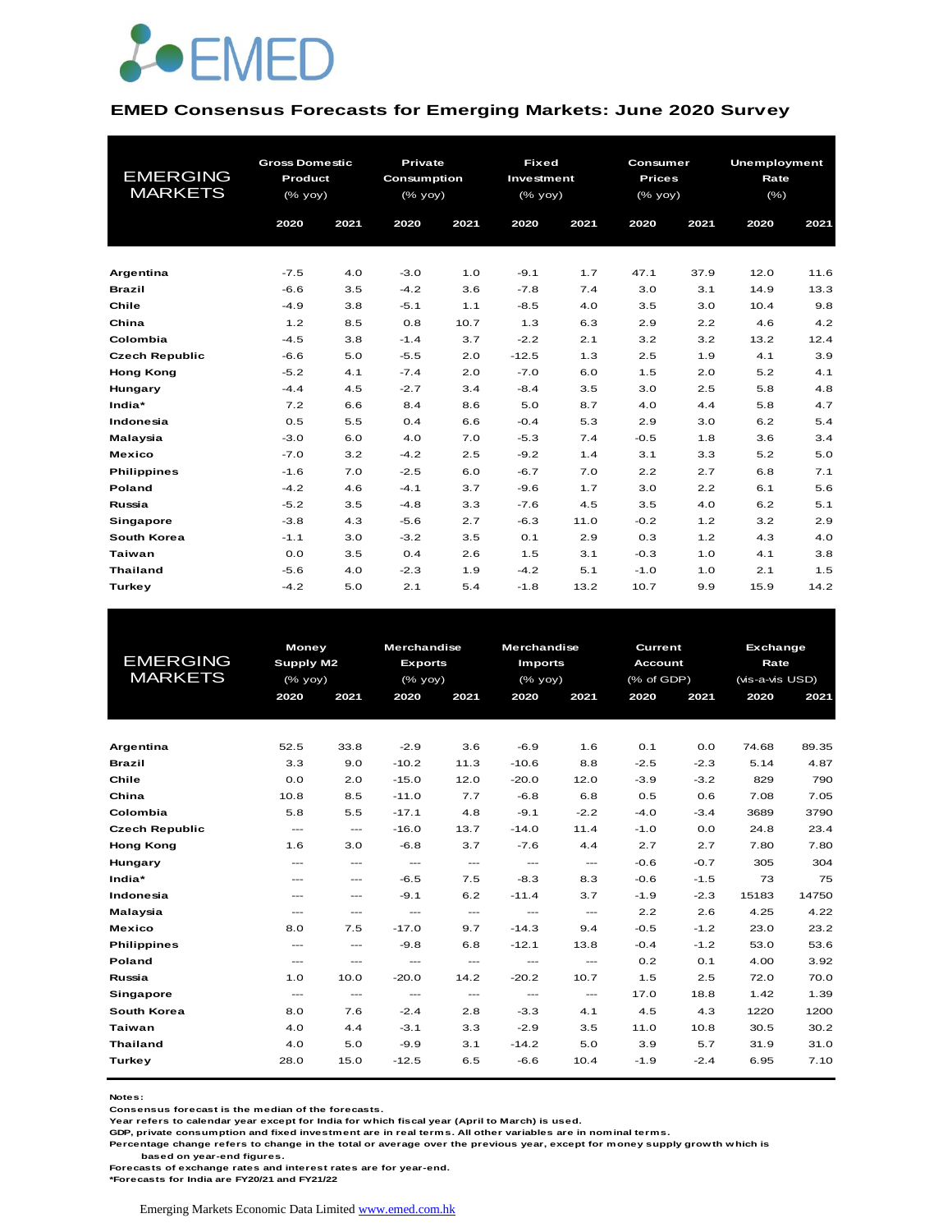

#### **EMED Consensus Forecasts for Emerging Markets: June 2020 Survey**

| <b>EMERGING</b><br><b>MARKETS</b> | <b>Gross Domestic</b><br>Product<br>(% yoy) |      | <b>Private</b><br>Consumption<br>(% yoy) |      |         | <b>Fixed</b><br>Investment<br>$(%$ $\sqrt{oy}$ $\sqrt{oy}$ |        | Consumer<br><b>Prices</b><br>$(%$ $\sqrt{oy}$ $\sqrt{oy}$ |      | <b>Unemployment</b><br>Rate<br>$(\% )$ |
|-----------------------------------|---------------------------------------------|------|------------------------------------------|------|---------|------------------------------------------------------------|--------|-----------------------------------------------------------|------|----------------------------------------|
|                                   | 2020                                        | 2021 | 2020                                     | 2021 | 2020    | 2021                                                       | 2020   | 2021                                                      | 2020 | 2021                                   |
|                                   |                                             |      |                                          |      |         |                                                            |        |                                                           |      |                                        |
| Argentina                         | $-7.5$                                      | 4.0  | $-3.0$                                   | 1.0  | $-9.1$  | 1.7                                                        | 47.1   | 37.9                                                      | 12.0 | 11.6                                   |
| <b>Brazil</b>                     | $-6.6$                                      | 3.5  | $-4.2$                                   | 3.6  | $-7.8$  | 7.4                                                        | 3.0    | 3.1                                                       | 14.9 | 13.3                                   |
| Chile                             | $-4.9$                                      | 3.8  | $-5.1$                                   | 1.1  | $-8.5$  | 4.0                                                        | 3.5    | 3.0                                                       | 10.4 | 9.8                                    |
| China                             | 1.2                                         | 8.5  | 0.8                                      | 10.7 | 1.3     | 6.3                                                        | 2.9    | 2.2                                                       | 4.6  | 4.2                                    |
| Colombia                          | $-4.5$                                      | 3.8  | $-1.4$                                   | 3.7  | $-2.2$  | 2.1                                                        | 3.2    | 3.2                                                       | 13.2 | 12.4                                   |
| <b>Czech Republic</b>             | $-6.6$                                      | 5.0  | $-5.5$                                   | 2.0  | $-12.5$ | 1.3                                                        | 2.5    | 1.9                                                       | 4.1  | 3.9                                    |
| <b>Hong Kong</b>                  | $-5.2$                                      | 4.1  | $-7.4$                                   | 2.0  | $-7.0$  | 6.0                                                        | 1.5    | 2.0                                                       | 5.2  | 4.1                                    |
| Hungary                           | $-4.4$                                      | 4.5  | $-2.7$                                   | 3.4  | $-8.4$  | 3.5                                                        | 3.0    | 2.5                                                       | 5.8  | 4.8                                    |
| India*                            | 7.2                                         | 6.6  | 8.4                                      | 8.6  | 5.0     | 8.7                                                        | 4.0    | 4.4                                                       | 5.8  | 4.7                                    |
| Indonesia                         | 0.5                                         | 5.5  | 0.4                                      | 6.6  | $-0.4$  | 5.3                                                        | 2.9    | 3.0                                                       | 6.2  | 5.4                                    |
| Malaysia                          | $-3.0$                                      | 6.0  | 4.0                                      | 7.0  | $-5.3$  | 7.4                                                        | $-0.5$ | 1.8                                                       | 3.6  | 3.4                                    |
| <b>Mexico</b>                     | $-7.0$                                      | 3.2  | $-4.2$                                   | 2.5  | $-9.2$  | 1.4                                                        | 3.1    | 3.3                                                       | 5.2  | 5.0                                    |
| <b>Philippines</b>                | $-1.6$                                      | 7.0  | $-2.5$                                   | 6.0  | $-6.7$  | 7.0                                                        | 2.2    | 2.7                                                       | 6.8  | 7.1                                    |
| Poland                            | $-4.2$                                      | 4.6  | $-4.1$                                   | 3.7  | $-9.6$  | 1.7                                                        | 3.0    | 2.2                                                       | 6.1  | 5.6                                    |
| Russia                            | $-5.2$                                      | 3.5  | $-4.8$                                   | 3.3  | $-7.6$  | 4.5                                                        | 3.5    | 4.0                                                       | 6.2  | 5.1                                    |
| Singapore                         | $-3.8$                                      | 4.3  | $-5.6$                                   | 2.7  | $-6.3$  | 11.0                                                       | $-0.2$ | 1.2                                                       | 3.2  | 2.9                                    |
| South Korea                       | $-1.1$                                      | 3.0  | $-3.2$                                   | 3.5  | 0.1     | 2.9                                                        | 0.3    | 1.2                                                       | 4.3  | 4.0                                    |
| <b>Taiwan</b>                     | 0.0                                         | 3.5  | 0.4                                      | 2.6  | 1.5     | 3.1                                                        | $-0.3$ | 1.0                                                       | 4.1  | 3.8                                    |
| <b>Thailand</b>                   | $-5.6$                                      | 4.0  | $-2.3$                                   | 1.9  | $-4.2$  | 5.1                                                        | $-1.0$ | 1.0                                                       | 2.1  | 1.5                                    |
| Turkey                            | $-4.2$                                      | 5.0  | 2.1                                      | 5.4  | $-1.8$  | 13.2                                                       | 10.7   | 9.9                                                       | 15.9 | 14.2                                   |

|                       | <b>Money</b>           |                          | <b>Merchandise</b> |                                                                                                | Merchandise              |          | <b>Exchange</b><br>Current |        |                 |       |
|-----------------------|------------------------|--------------------------|--------------------|------------------------------------------------------------------------------------------------|--------------------------|----------|----------------------------|--------|-----------------|-------|
| <b>EMERGING</b>       | Supply M2              |                          | <b>Exports</b>     |                                                                                                | <b>Imports</b>           |          | <b>Account</b>             |        | Rate            |       |
| <b>MARKETS</b>        | $(%$ (% yoy)           |                          | $(%$ (% yoy)       |                                                                                                | (% yoy)                  |          | (% of GDP)                 |        | (vis-a-vis USD) |       |
|                       | 2020                   | 2021                     | 2020               | 2021                                                                                           | 2020                     | 2021     | 2020                       | 2021   | 2020            | 2021  |
|                       |                        |                          |                    |                                                                                                |                          |          |                            |        |                 |       |
|                       |                        |                          |                    |                                                                                                |                          |          |                            |        |                 |       |
| Argentina             | 52.5                   | 33.8                     | $-2.9$             | 3.6                                                                                            | $-6.9$                   | 1.6      | O.1                        | 0.0    | 74.68           | 89.35 |
| <b>Brazil</b>         | 3.3                    | 9.0                      | $-10.2$            | 11.3                                                                                           | $-10.6$                  | 8.8      | $-2.5$                     | $-2.3$ | 5.14            | 4.87  |
| Chile                 | 0.0                    | 2.0                      | $-15.0$            | 12.0                                                                                           | $-20.0$                  | 12.0     | $-3.9$                     | $-3.2$ | 829             | 790   |
| China                 | 10.8                   | 8.5                      | $-11.0$            | 7.7                                                                                            | $-6.8$                   | 6.8      | 0.5                        | 0.6    | 7.08            | 7.05  |
| Colombia              | 5.8                    | 5.5                      | $-17.1$            | 4.8                                                                                            | $-9.1$                   | $-2.2$   | $-4.0$                     | $-3.4$ | 3689            | 3790  |
| <b>Czech Republic</b> | $\qquad \qquad \cdots$ | $\hspace{0.05cm} \ldots$ | $-16.0$            | 13.7                                                                                           | $-14.0$                  | 11.4     | $-1.0$                     | 0.0    | 24.8            | 23.4  |
| <b>Hong Kong</b>      | 1.6                    | 3.0                      | $-6.8$             | 3.7                                                                                            | $-7.6$                   | 4.4      | 2.7                        | 2.7    | 7.80            | 7.80  |
| Hungary               | $---$                  | $---$                    | $\cdots$           | $\cdots$                                                                                       | $\hspace{0.05cm} \ldots$ | $\cdots$ | $-0.6$                     | $-0.7$ | 305             | 304   |
| India*                | $---$                  | $\qquad \qquad \cdots$   | $-6.5$             | 7.5                                                                                            | $-8.3$                   | 8.3      | $-0.6$                     | $-1.5$ | 73              | 75    |
| Indonesia             | $---$                  | $---$                    | $-9.1$             | 6.2                                                                                            | $-11.4$                  | 3.7      | $-1.9$                     | $-2.3$ | 15183           | 14750 |
| Malaysia              | $---$                  | $---$                    | $\frac{1}{2}$      | $\frac{1}{2} \left( \frac{1}{2} \right) \left( \frac{1}{2} \right) \left( \frac{1}{2} \right)$ | $\frac{1}{2}$            | $  \sim$ | 2.2                        | 2.6    | 4.25            | 4.22  |
| <b>Mexico</b>         | 8.0                    | 7.5                      | $-17.0$            | 9.7                                                                                            | $-14.3$                  | 9.4      | $-0.5$                     | $-1.2$ | 23.0            | 23.2  |
| <b>Philippines</b>    | $\qquad \qquad -$      | $\qquad \qquad \cdots$   | $-9.8$             | 6.8                                                                                            | $-12.1$                  | 13.8     | $-0.4$                     | $-1.2$ | 53.0            | 53.6  |
| Poland                | $\cdots$               | $\cdots$                 | $\cdots$           | $\cdots$                                                                                       | $\cdots$                 | $\cdots$ | 0.2                        | 0.1    | 4.00            | 3.92  |
| Russia                | 1.0                    | 10.0                     | $-20.0$            | 14.2                                                                                           | $-20.2$                  | 10.7     | 1.5                        | 2.5    | 72.0            | 70.0  |
| Singapore             | $\cdots$               | $\hspace{0.05cm} \ldots$ | $\cdots$           | $\cdots$                                                                                       | $\hspace{0.05cm} \ldots$ | $\cdots$ | 17.0                       | 18.8   | 1.42            | 1.39  |
| South Korea           | 8.0                    | 7.6                      | $-2.4$             | 2.8                                                                                            | $-3.3$                   | 4.1      | 4.5                        | 4.3    | 1220            | 1200  |
| Taiwan                | 4.0                    | 4.4                      | $-3.1$             | 3.3                                                                                            | $-2.9$                   | 3.5      | 11.0                       | 10.8   | 30.5            | 30.2  |
| <b>Thailand</b>       | 4.0                    | 5.0                      | $-9.9$             | 3.1                                                                                            | $-14.2$                  | 5.0      | 3.9                        | 5.7    | 31.9            | 31.0  |
| Turkey                | 28.0                   | 15.0                     | $-12.5$            | 6.5                                                                                            | $-6.6$                   | 10.4     | $-1.9$                     | $-2.4$ | 6.95            | 7.10  |
|                       |                        |                          |                    |                                                                                                |                          |          |                            |        |                 |       |

**Notes:** 

**Consensus forecast is the median of the forecasts.**

**Year refers to calendar year except for India for which fiscal year (April to March) is used.**

**GDP, private consumption and fixed investment are in real terms. All other variables are in nominal terms.**

**Percentage change refers to change in the total or average over the previous year, except for money supply growth which is** 

 **based on year-end figures.**

**Forecasts of exchange rates and interest rates are for year-end.**

**\*Forecasts for India are FY20/21 and FY21/22**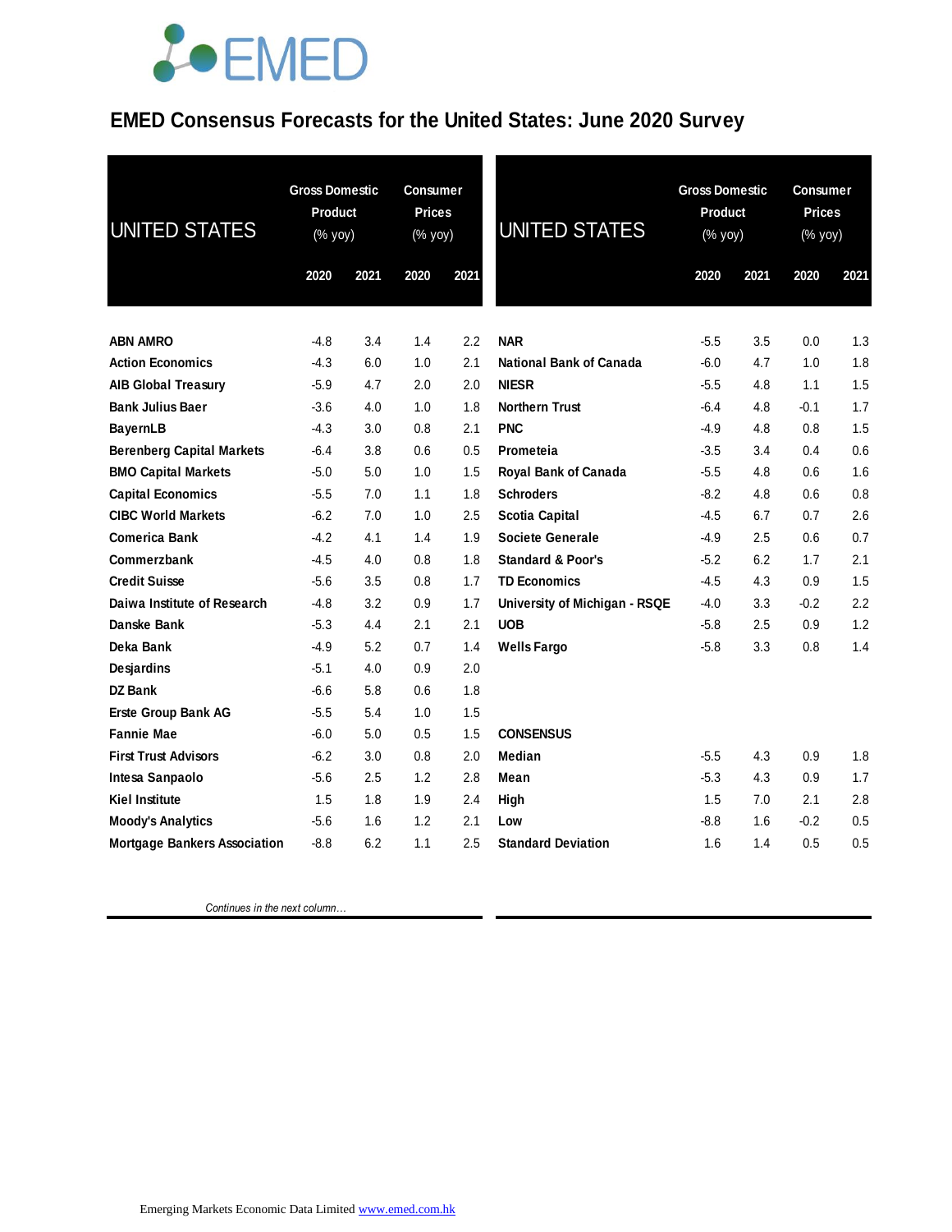## **JOEMED**

### **EMED Consensus Forecasts for the United States: June 2020 Survey**

| <b>UNITED STATES</b>                | <b>Gross Domestic</b><br><b>Product</b><br>(% yoy) |      | <b>Consumer</b><br><b>Prices</b><br>(% yoy) |      | <b>UNITED STATES</b>          | <b>Gross Domestic</b><br><b>Product</b><br>(% yoy) |         | Consumer<br><b>Prices</b><br>$(% \mathsf{Y}\cup \mathsf{Y})$ |      |
|-------------------------------------|----------------------------------------------------|------|---------------------------------------------|------|-------------------------------|----------------------------------------------------|---------|--------------------------------------------------------------|------|
|                                     | 2020                                               | 2021 | 2020                                        | 2021 |                               | 2020                                               | 2021    | 2020                                                         | 2021 |
| <b>ABN AMRO</b>                     | -4.8                                               | 3.4  | 1.4                                         | 2.2  | <b>NAR</b>                    | $-5.5$                                             | 3.5     | 0.0                                                          | 1.3  |
| <b>Action Economics</b>             | -4.3                                               | 6.0  | 1.0                                         | 2.1  | National Bank of Canada       | $-6.0$                                             | 4.7     | 1.0                                                          | 1.8  |
| <b>AIB Global Treasury</b>          | $-5.9$                                             | 4.7  | 2.0                                         | 2.0  | <b>NIESR</b>                  | $-5.5$                                             | 4.8     | 1.1                                                          | 1.5  |
| <b>Bank Julius Baer</b>             | $-3.6$                                             | 4.0  | 1.0                                         | 1.8  | <b>Northern Trust</b>         | $-6.4$                                             | 4.8     | $-0.1$                                                       | 1.7  |
| <b>BayernLB</b>                     | $-4.3$                                             | 3.0  | 0.8                                         | 2.1  | <b>PNC</b>                    | $-4.9$                                             | 4.8     | 0.8                                                          | 1.5  |
| <b>Berenberg Capital Markets</b>    | $-6.4$                                             | 3.8  | 0.6                                         | 0.5  | Prometeia                     | $-3.5$                                             | 3.4     | 0.4                                                          | 0.6  |
| <b>BMO Capital Markets</b>          | $-5.0$                                             | 5.0  | 1.0                                         | 1.5  | Royal Bank of Canada          | $-5.5$                                             | 4.8     | 0.6                                                          | 1.6  |
| <b>Capital Economics</b>            | $-5.5$                                             | 7.0  | 1.1                                         | 1.8  | <b>Schroders</b>              | $-8.2$                                             | 4.8     | 0.6                                                          | 0.8  |
| <b>CIBC World Markets</b>           | $-6.2$                                             | 7.0  | 1.0                                         | 2.5  | <b>Scotia Capital</b>         | $-4.5$                                             | 6.7     | 0.7                                                          | 2.6  |
| <b>Comerica Bank</b>                | $-4.2$                                             | 4.1  | 1.4                                         | 1.9  | <b>Societe Generale</b>       | $-4.9$                                             | 2.5     | 0.6                                                          | 0.7  |
| Commerzbank                         | $-4.5$                                             | 4.0  | 0.8                                         | 1.8  | <b>Standard &amp; Poor's</b>  | $-5.2$                                             | 6.2     | 1.7                                                          | 2.1  |
| <b>Credit Suisse</b>                | $-5.6$                                             | 3.5  | 0.8                                         | 1.7  | <b>TD Economics</b>           | $-4.5$                                             | 4.3     | 0.9                                                          | 1.5  |
| Daiwa Institute of Research         | $-4.8$                                             | 3.2  | 0.9                                         | 1.7  | University of Michigan - RSQE | $-4.0$                                             | 3.3     | $-0.2$                                                       | 2.2  |
| Danske Bank                         | $-5.3$                                             | 4.4  | 2.1                                         | 2.1  | <b>UOB</b>                    | $-5.8$                                             | $2.5\,$ | 0.9                                                          | 1.2  |
| Deka Bank                           | $-4.9$                                             | 5.2  | 0.7                                         | 1.4  | <b>Wells Fargo</b>            | $-5.8$                                             | 3.3     | 0.8                                                          | 1.4  |
| Desjardins                          | $-5.1$                                             | 4.0  | 0.9                                         | 2.0  |                               |                                                    |         |                                                              |      |
| DZ Bank                             | -6.6                                               | 5.8  | 0.6                                         | 1.8  |                               |                                                    |         |                                                              |      |
| Erste Group Bank AG                 | $-5.5$                                             | 5.4  | 1.0                                         | 1.5  |                               |                                                    |         |                                                              |      |
| <b>Fannie Mae</b>                   | $-6.0$                                             | 5.0  | 0.5                                         | 1.5  | <b>CONSENSUS</b>              |                                                    |         |                                                              |      |
| <b>First Trust Advisors</b>         | $-6.2$                                             | 3.0  | 0.8                                         | 2.0  | Median                        | $-5.5$                                             | 4.3     | 0.9                                                          | 1.8  |
| Intesa Sanpaolo                     | -5.6                                               | 2.5  | 1.2                                         | 2.8  | Mean                          | $-5.3$                                             | 4.3     | 0.9                                                          | 1.7  |
| <b>Kiel Institute</b>               | 1.5                                                | 1.8  | 1.9                                         | 2.4  | High                          | 1.5                                                | 7.0     | 2.1                                                          | 2.8  |
| <b>Moody's Analytics</b>            | $-5.6$                                             | 1.6  | 1.2                                         | 2.1  | Low                           | $-8.8$                                             | 1.6     | $-0.2$                                                       | 0.5  |
| <b>Mortgage Bankers Association</b> | $-8.8$                                             | 6.2  | 1.1                                         | 2.5  | <b>Standard Deviation</b>     | 1.6                                                | 1.4     | 0.5                                                          | 0.5  |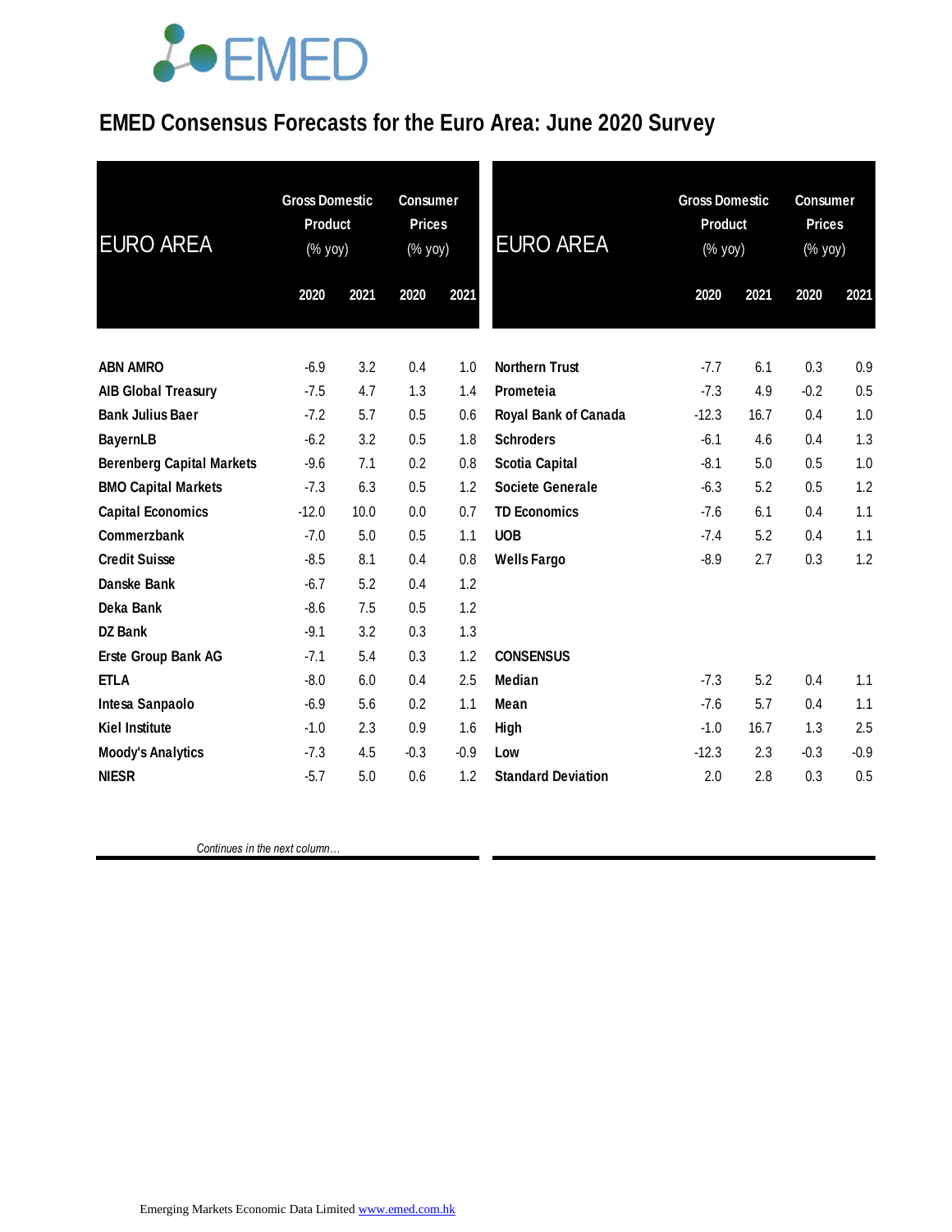## **JOEMED**

#### **EMED Consensus Forecasts for the Euro Area: June 2020 Survey**

| <b>EURO AREA</b>                 | <b>Gross Domestic</b><br><b>Product</b><br>(% yoy) |      | <b>Consumer</b><br><b>Prices</b><br>(% yoy) |        | <b>EURO AREA</b>          | <b>Gross Domestic</b><br><b>Product</b><br>(% yoy) |      | <b>Consumer</b><br><b>Prices</b><br>(% yoy) |        |
|----------------------------------|----------------------------------------------------|------|---------------------------------------------|--------|---------------------------|----------------------------------------------------|------|---------------------------------------------|--------|
|                                  | 2020                                               | 2021 | 2020                                        | 2021   |                           | 2020                                               | 2021 | 2020                                        | 2021   |
| <b>ABN AMRO</b>                  | $-6.9$                                             | 3.2  | 0.4                                         | 1.0    | <b>Northern Trust</b>     | $-7.7$                                             | 6.1  | 0.3                                         | 0.9    |
| <b>AIB Global Treasury</b>       | $-7.5$                                             | 4.7  | 1.3                                         | 1.4    | Prometeia                 | $-7.3$                                             | 4.9  | $-0.2$                                      | 0.5    |
| <b>Bank Julius Baer</b>          | $-7.2$                                             | 5.7  | 0.5                                         | 0.6    | Royal Bank of Canada      | $-12.3$                                            | 16.7 | 0.4                                         | 1.0    |
| <b>BayernLB</b>                  | $-6.2$                                             | 3.2  | 0.5                                         | 1.8    | <b>Schroders</b>          | $-6.1$                                             | 4.6  | 0.4                                         | 1.3    |
| <b>Berenberg Capital Markets</b> | $-9.6$                                             | 7.1  | 0.2                                         | 0.8    | <b>Scotia Capital</b>     | $-8.1$                                             | 5.0  | 0.5                                         | 1.0    |
| <b>BMO Capital Markets</b>       | $-7.3$                                             | 6.3  | 0.5                                         | 1.2    | Societe Generale          | $-6.3$                                             | 5.2  | 0.5                                         | 1.2    |
| <b>Capital Economics</b>         | $-12.0$                                            | 10.0 | 0.0                                         | 0.7    | <b>TD Economics</b>       | $-7.6$                                             | 6.1  | 0.4                                         | 1.1    |
| Commerzbank                      | $-7.0$                                             | 5.0  | 0.5                                         | 1.1    | <b>UOB</b>                | $-7.4$                                             | 5.2  | 0.4                                         | 1.1    |
| <b>Credit Suisse</b>             | $-8.5$                                             | 8.1  | 0.4                                         | 0.8    | <b>Wells Fargo</b>        | $-8.9$                                             | 2.7  | 0.3                                         | 1.2    |
| Danske Bank                      | $-6.7$                                             | 5.2  | 0.4                                         | 1.2    |                           |                                                    |      |                                             |        |
| Deka Bank                        | $-8.6$                                             | 7.5  | 0.5                                         | 1.2    |                           |                                                    |      |                                             |        |
| <b>DZ Bank</b>                   | $-9.1$                                             | 3.2  | 0.3                                         | 1.3    |                           |                                                    |      |                                             |        |
| Erste Group Bank AG              | $-7.1$                                             | 5.4  | 0.3                                         | 1.2    | <b>CONSENSUS</b>          |                                                    |      |                                             |        |
| <b>ETLA</b>                      | $-8.0$                                             | 6.0  | 0.4                                         | 2.5    | <b>Median</b>             | $-7.3$                                             | 5.2  | 0.4                                         | 1.1    |
| Intesa Sanpaolo                  | $-6.9$                                             | 5.6  | 0.2                                         | 1.1    | Mean                      | $-7.6$                                             | 5.7  | 0.4                                         | 1.1    |
| <b>Kiel Institute</b>            | $-1.0$                                             | 2.3  | 0.9                                         | 1.6    | High                      | $-1.0$                                             | 16.7 | 1.3                                         | 2.5    |
| <b>Moody's Analytics</b>         | $-7.3$                                             | 4.5  | $-0.3$                                      | $-0.9$ | Low                       | $-12.3$                                            | 2.3  | $-0.3$                                      | $-0.9$ |
| <b>NIESR</b>                     | $-5.7$                                             | 5.0  | 0.6                                         | 1.2    | <b>Standard Deviation</b> | 2.0                                                | 2.8  | 0.3                                         | 0.5    |
|                                  |                                                    |      |                                             |        |                           |                                                    |      |                                             |        |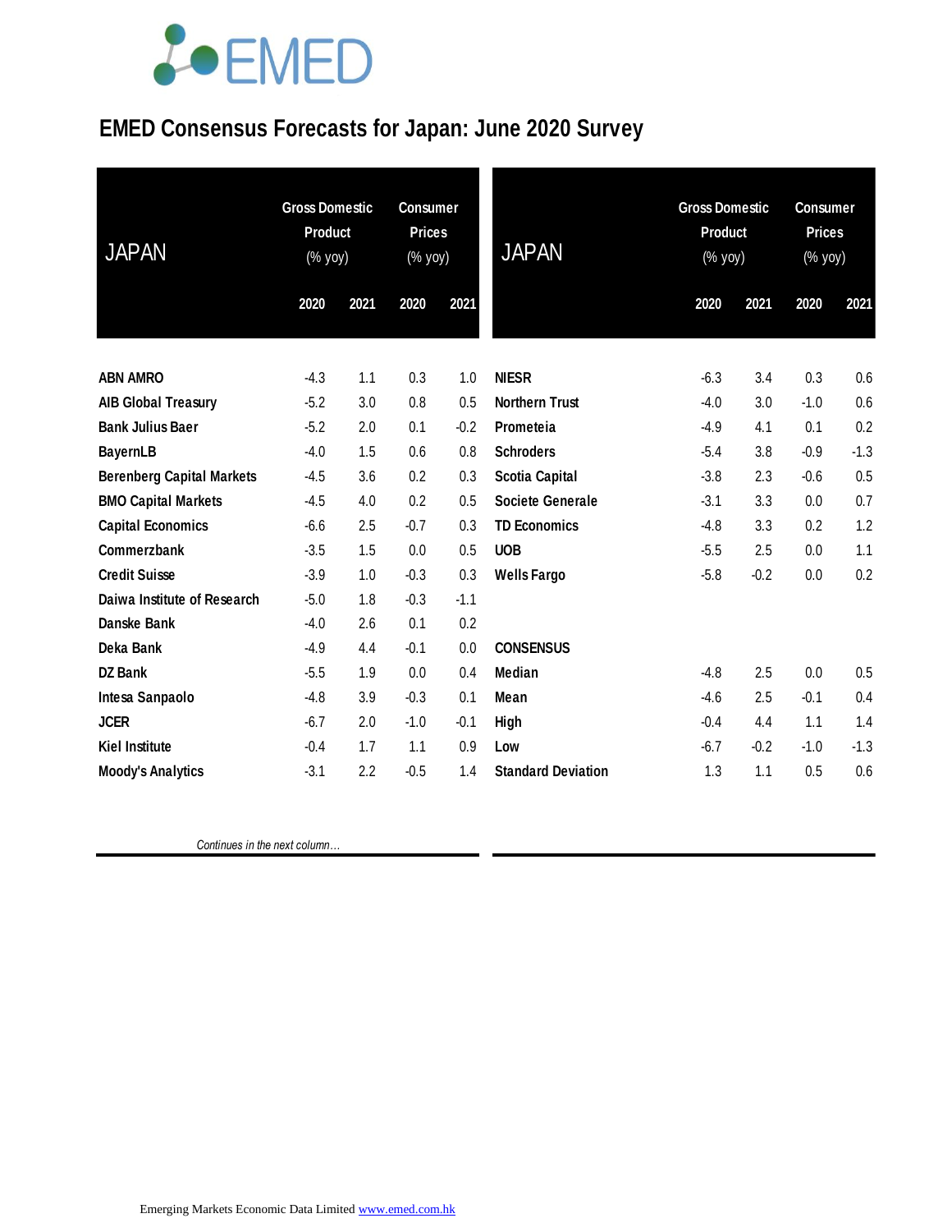# LOEMED

### **EMED Consensus Forecasts for Japan: June 2020 Survey**

| <b>JAPAN</b>                     | <b>Gross Domestic</b><br><b>Product</b><br>(% yoy) |      | <b>Consumer</b><br><b>Prices</b><br>(% yoy) |        | <b>JAPAN</b>              | <b>Gross Domestic</b><br><b>Product</b><br>(% yoy) |        | <b>Consumer</b><br><b>Prices</b><br>(% yoy) |        |
|----------------------------------|----------------------------------------------------|------|---------------------------------------------|--------|---------------------------|----------------------------------------------------|--------|---------------------------------------------|--------|
|                                  | 2020                                               | 2021 | 2020                                        | 2021   |                           | 2020                                               | 2021   | 2020                                        | 2021   |
| <b>ABN AMRO</b>                  | $-4.3$                                             | 1.1  | 0.3                                         | 1.0    | <b>NIESR</b>              | $-6.3$                                             | 3.4    | 0.3                                         | 0.6    |
| <b>AIB Global Treasury</b>       | $-5.2$                                             | 3.0  | 0.8                                         | 0.5    | <b>Northern Trust</b>     | $-4.0$                                             | 3.0    | $-1.0$                                      | 0.6    |
| <b>Bank Julius Baer</b>          | $-5.2$                                             | 2.0  | 0.1                                         | $-0.2$ | Prometeia                 | $-4.9$                                             | 4.1    | 0.1                                         | 0.2    |
| <b>BayernLB</b>                  | $-4.0$                                             | 1.5  | 0.6                                         | 0.8    | <b>Schroders</b>          | $-5.4$                                             | 3.8    | $-0.9$                                      | $-1.3$ |
| <b>Berenberg Capital Markets</b> | $-4.5$                                             | 3.6  | 0.2                                         | 0.3    | <b>Scotia Capital</b>     | $-3.8$                                             | 2.3    | $-0.6$                                      | 0.5    |
| <b>BMO Capital Markets</b>       | $-4.5$                                             | 4.0  | 0.2                                         | 0.5    | Societe Generale          | $-3.1$                                             | 3.3    | 0.0                                         | 0.7    |
| <b>Capital Economics</b>         | $-6.6$                                             | 2.5  | $-0.7$                                      | 0.3    | <b>TD Economics</b>       | $-4.8$                                             | 3.3    | 0.2                                         | 1.2    |
| Commerzbank                      | $-3.5$                                             | 1.5  | 0.0                                         | 0.5    | <b>UOB</b>                | $-5.5$                                             | 2.5    | 0.0                                         | 1.1    |
| <b>Credit Suisse</b>             | $-3.9$                                             | 1.0  | $-0.3$                                      | 0.3    | <b>Wells Fargo</b>        | $-5.8$                                             | $-0.2$ | 0.0                                         | 0.2    |
| Daiwa Institute of Research      | $-5.0$                                             | 1.8  | $-0.3$                                      | $-1.1$ |                           |                                                    |        |                                             |        |
| Danske Bank                      | $-4.0$                                             | 2.6  | 0.1                                         | 0.2    |                           |                                                    |        |                                             |        |
| Deka Bank                        | $-4.9$                                             | 4.4  | $-0.1$                                      | 0.0    | <b>CONSENSUS</b>          |                                                    |        |                                             |        |
| <b>DZ Bank</b>                   | $-5.5$                                             | 1.9  | 0.0                                         | 0.4    | <b>Median</b>             | $-4.8$                                             | 2.5    | 0.0                                         | 0.5    |
| Intesa Sanpaolo                  | $-4.8$                                             | 3.9  | $-0.3$                                      | 0.1    | Mean                      | $-4.6$                                             | 2.5    | $-0.1$                                      | 0.4    |
| <b>JCER</b>                      | $-6.7$                                             | 2.0  | $-1.0$                                      | $-0.1$ | High                      | $-0.4$                                             | 4.4    | 1.1                                         | 1.4    |
| <b>Kiel Institute</b>            | $-0.4$                                             | 1.7  | 1.1                                         | 0.9    | Low                       | $-6.7$                                             | $-0.2$ | $-1.0$                                      | $-1.3$ |
| <b>Moody's Analytics</b>         | $-3.1$                                             | 2.2  | $-0.5$                                      | 1.4    | <b>Standard Deviation</b> | 1.3                                                | 1.1    | 0.5                                         | 0.6    |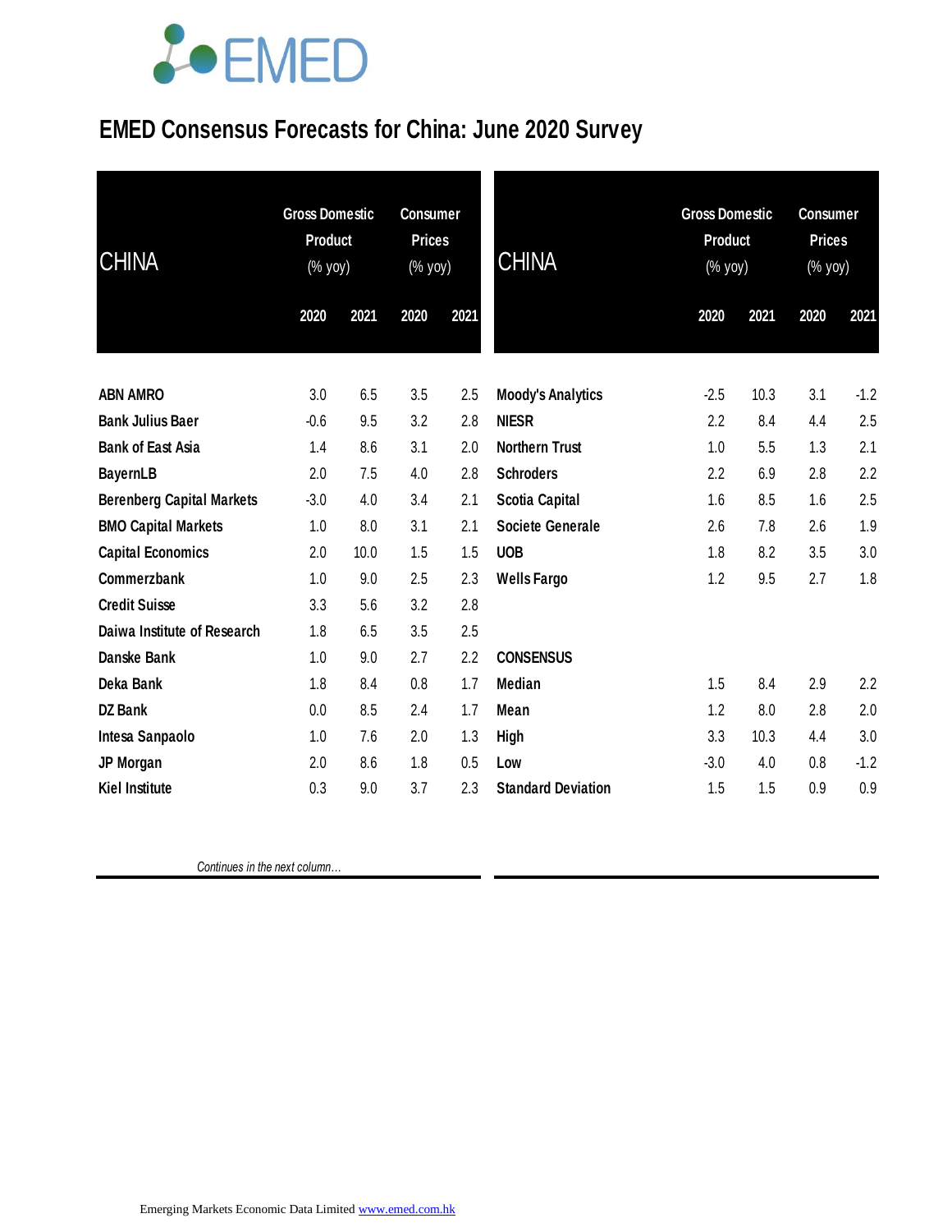# **JOEMED**

### **EMED Consensus Forecasts for China: June 2020 Survey**

| <b>CHINA</b>                     | <b>Gross Domestic</b><br><b>Product</b><br>(% yoy) |      | <b>Consumer</b><br><b>Prices</b><br>(% yoy) |      | <b>CHINA</b>              | <b>Gross Domestic</b><br><b>Product</b><br>(% yoy) |      | <b>Consumer</b><br><b>Prices</b><br>(% yoy) |        |
|----------------------------------|----------------------------------------------------|------|---------------------------------------------|------|---------------------------|----------------------------------------------------|------|---------------------------------------------|--------|
|                                  | 2020                                               | 2021 | 2020                                        | 2021 |                           | 2020                                               | 2021 | 2020                                        | 2021   |
| <b>ABN AMRO</b>                  | 3.0                                                | 6.5  | 3.5                                         | 2.5  | <b>Moody's Analytics</b>  | $-2.5$                                             | 10.3 | 3.1                                         | $-1.2$ |
| <b>Bank Julius Baer</b>          | $-0.6$                                             | 9.5  | 3.2                                         | 2.8  | <b>NIESR</b>              | 2.2                                                | 8.4  | 4.4                                         | 2.5    |
| <b>Bank of East Asia</b>         | 1.4                                                | 8.6  | 3.1                                         | 2.0  | <b>Northern Trust</b>     | 1.0                                                | 5.5  | 1.3                                         | 2.1    |
| <b>BayernLB</b>                  | 2.0                                                | 7.5  | 4.0                                         | 2.8  | <b>Schroders</b>          | 2.2                                                | 6.9  | 2.8                                         | 2.2    |
| <b>Berenberg Capital Markets</b> | $-3.0$                                             | 4.0  | 3.4                                         | 2.1  | Scotia Capital            | 1.6                                                | 8.5  | 1.6                                         | 2.5    |
| <b>BMO Capital Markets</b>       | 1.0                                                | 8.0  | 3.1                                         | 2.1  | <b>Societe Generale</b>   | 2.6                                                | 7.8  | 2.6                                         | 1.9    |
| <b>Capital Economics</b>         | 2.0                                                | 10.0 | 1.5                                         | 1.5  | <b>UOB</b>                | 1.8                                                | 8.2  | 3.5                                         | 3.0    |
| Commerzbank                      | 1.0                                                | 9.0  | 2.5                                         | 2.3  | <b>Wells Fargo</b>        | 1.2                                                | 9.5  | 2.7                                         | 1.8    |
| <b>Credit Suisse</b>             | 3.3                                                | 5.6  | 3.2                                         | 2.8  |                           |                                                    |      |                                             |        |
| Daiwa Institute of Research      | 1.8                                                | 6.5  | 3.5                                         | 2.5  |                           |                                                    |      |                                             |        |
| Danske Bank                      | 1.0                                                | 9.0  | 2.7                                         | 2.2  | <b>CONSENSUS</b>          |                                                    |      |                                             |        |
| Deka Bank                        | 1.8                                                | 8.4  | 0.8                                         | 1.7  | Median                    | 1.5                                                | 8.4  | 2.9                                         | 2.2    |
| <b>DZ Bank</b>                   | 0.0                                                | 8.5  | 2.4                                         | 1.7  | Mean                      | 1.2                                                | 8.0  | 2.8                                         | 2.0    |
| Intesa Sanpaolo                  | 1.0                                                | 7.6  | 2.0                                         | 1.3  | <b>High</b>               | 3.3                                                | 10.3 | 4.4                                         | 3.0    |
| JP Morgan                        | 2.0                                                | 8.6  | 1.8                                         | 0.5  | Low                       | $-3.0$                                             | 4.0  | 0.8                                         | $-1.2$ |
| <b>Kiel Institute</b>            | 0.3                                                | 9.0  | 3.7                                         | 2.3  | <b>Standard Deviation</b> | 1.5                                                | 1.5  | 0.9                                         | 0.9    |